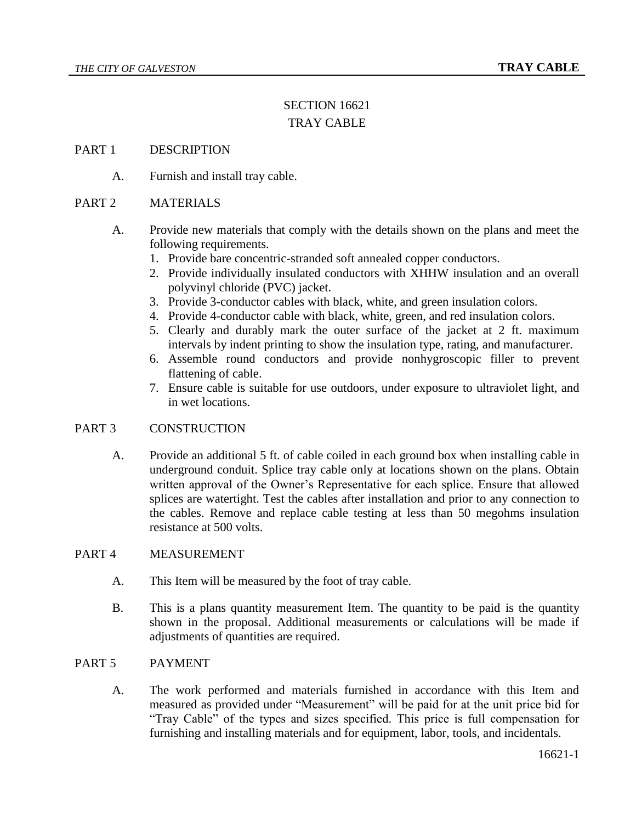# SECTION 16621 TRAY CABLE

### PART 1 DESCRIPTION

A. Furnish and install tray cable.

# PART 2 MATERIALS

- A. Provide new materials that comply with the details shown on the plans and meet the following requirements.
	- 1. Provide bare concentric-stranded soft annealed copper conductors.
	- 2. Provide individually insulated conductors with XHHW insulation and an overall polyvinyl chloride (PVC) jacket.
	- 3. Provide 3-conductor cables with black, white, and green insulation colors.
	- 4. Provide 4-conductor cable with black, white, green, and red insulation colors.
	- 5. Clearly and durably mark the outer surface of the jacket at 2 ft. maximum intervals by indent printing to show the insulation type, rating, and manufacturer.
	- 6. Assemble round conductors and provide nonhygroscopic filler to prevent flattening of cable.
	- 7. Ensure cable is suitable for use outdoors, under exposure to ultraviolet light, and in wet locations.

## PART 3 CONSTRUCTION

A. Provide an additional 5 ft. of cable coiled in each ground box when installing cable in underground conduit. Splice tray cable only at locations shown on the plans. Obtain written approval of the Owner's Representative for each splice. Ensure that allowed splices are watertight. Test the cables after installation and prior to any connection to the cables. Remove and replace cable testing at less than 50 megohms insulation resistance at 500 volts.

#### PART 4 MEASUREMENT

- A. This Item will be measured by the foot of tray cable.
- B. This is a plans quantity measurement Item. The quantity to be paid is the quantity shown in the proposal. Additional measurements or calculations will be made if adjustments of quantities are required.

### PART 5 PAYMENT

A. The work performed and materials furnished in accordance with this Item and measured as provided under "Measurement" will be paid for at the unit price bid for "Tray Cable" of the types and sizes specified. This price is full compensation for furnishing and installing materials and for equipment, labor, tools, and incidentals.